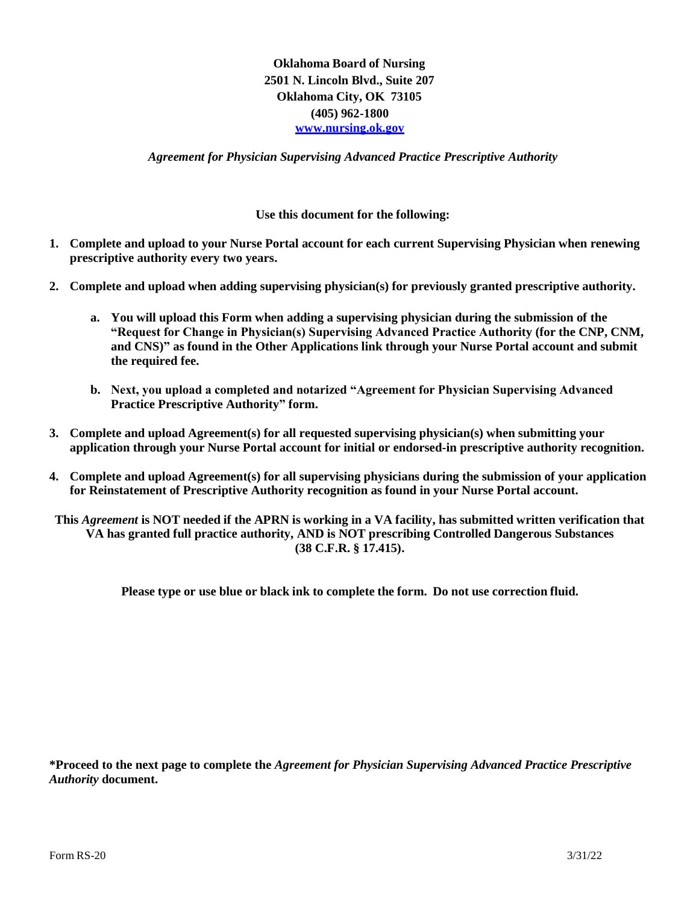**Oklahoma Board of Nursing 2501 N. Lincoln Blvd., Suite 207 Oklahoma City, OK 73105 (405) 962-1800 [www.nursing.ok.gov](http://www.nursing.ok.gov/)**

*Agreement for Physician Supervising Advanced Practice Prescriptive Authority*

## **Use this document for the following:**

- **1. Complete and upload to your Nurse Portal account for each current Supervising Physician when renewing prescriptive authority every two years.**
- **2. Complete and upload when adding supervising physician(s) for previously granted prescriptive authority.**
	- **a. You will upload this Form when adding a supervising physician during the submission of the "Request for Change in Physician(s) Supervising Advanced Practice Authority (for the CNP, CNM, and CNS)" as found in the Other Applications link through your Nurse Portal account and submit the required fee.**
	- **b. Next, you upload a completed and notarized "Agreement for Physician Supervising Advanced Practice Prescriptive Authority" form.**
- **3. Complete and upload Agreement(s) for all requested supervising physician(s) when submitting your application through your Nurse Portal account for initial or endorsed-in prescriptive authority recognition.**
- **4. Complete and upload Agreement(s) for all supervising physicians during the submission of your application for Reinstatement of Prescriptive Authority recognition as found in your Nurse Portal account.**
- **This** *Agreement* **is NOT needed if the APRN is working in a VA facility, has submitted written verification that VA has granted full practice authority, AND is NOT prescribing Controlled Dangerous Substances (38 C.F.R. § 17.415).**

**Please type or use blue or black ink to complete the form. Do not use correction fluid.**

**\*Proceed to the next page to complete the** *Agreement for Physician Supervising Advanced Practice Prescriptive Authority* **document.**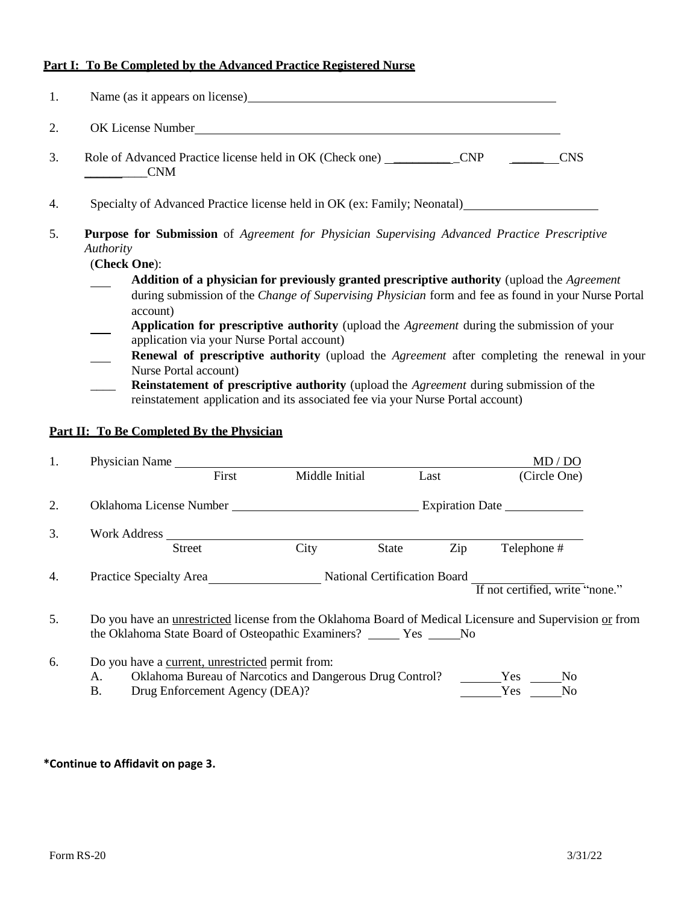## **Part I: To Be Completed by the Advanced Practice Registered Nurse**

| 1.                                                                                                                                     | Name (as it appears on license) here are also all the same states of the same states of the same states of the same states of the same states of the same states of the same states of the same states of the same states of t |  |  |  |  |  |
|----------------------------------------------------------------------------------------------------------------------------------------|--------------------------------------------------------------------------------------------------------------------------------------------------------------------------------------------------------------------------------|--|--|--|--|--|
| 2.                                                                                                                                     |                                                                                                                                                                                                                                |  |  |  |  |  |
| 3.                                                                                                                                     | Role of Advanced Practice license held in OK (Check one) _____________CNP __________CNS<br><b>CNM</b>                                                                                                                          |  |  |  |  |  |
| 4.                                                                                                                                     | Specialty of Advanced Practice license held in OK (ex: Family; Neonatal)                                                                                                                                                       |  |  |  |  |  |
| 5.<br><b>Purpose for Submission</b> of Agreement for Physician Supervising Advanced Practice Prescriptive<br>Authority<br>(Check One): |                                                                                                                                                                                                                                |  |  |  |  |  |
|                                                                                                                                        | Addition of a physician for previously granted prescriptive authority (upload the Agreement                                                                                                                                    |  |  |  |  |  |
|                                                                                                                                        | during submission of the Change of Supervising Physician form and fee as found in your Nurse Portal<br>account)                                                                                                                |  |  |  |  |  |
|                                                                                                                                        | Application for prescriptive authority (upload the Agreement during the submission of your<br>application via your Nurse Portal account)                                                                                       |  |  |  |  |  |
|                                                                                                                                        | Renewal of prescriptive authority (upload the Agreement after completing the renewal in your<br>Nurse Portal account)                                                                                                          |  |  |  |  |  |
|                                                                                                                                        | <b>Reinstatement of prescriptive authority</b> (upload the <i>Agreement</i> during submission of the<br>reinstatement application and its associated fee via your Nurse Portal account)                                        |  |  |  |  |  |
|                                                                                                                                        | Part II: To Be Completed By the Physician                                                                                                                                                                                      |  |  |  |  |  |

| 1. | Physician Name                                                                                                                                                               |                |                                     | MD / DO                         |  |
|----|------------------------------------------------------------------------------------------------------------------------------------------------------------------------------|----------------|-------------------------------------|---------------------------------|--|
|    | First                                                                                                                                                                        | Middle Initial | Last                                | (Circle One)                    |  |
| 2. |                                                                                                                                                                              |                |                                     | Expiration Date                 |  |
| 3. | Work Address<br><b>Street</b>                                                                                                                                                | City           | Zip<br>State                        | Telephone #                     |  |
| 4. | <b>Practice Specialty Area</b>                                                                                                                                               |                | <b>National Certification Board</b> | If not certified, write "none." |  |
| 5. | Do you have an <u>unrestricted</u> license from the Oklahoma Board of Medical Licensure and Supervision or from<br>the Oklahoma State Board of Osteopathic Examiners? Yes No |                |                                     |                                 |  |
| 6. | Do you have a current, unrestricted permit from:                                                                                                                             |                |                                     |                                 |  |

| А. | Oklahoma Bureau of Narcotics and Dangerous Drug Control? | Yes. | No. |
|----|----------------------------------------------------------|------|-----|
|    | Drug Enforcement Agency (DEA)?                           | Y es | No. |

## **\*Continue to Affidavit on page 3.**